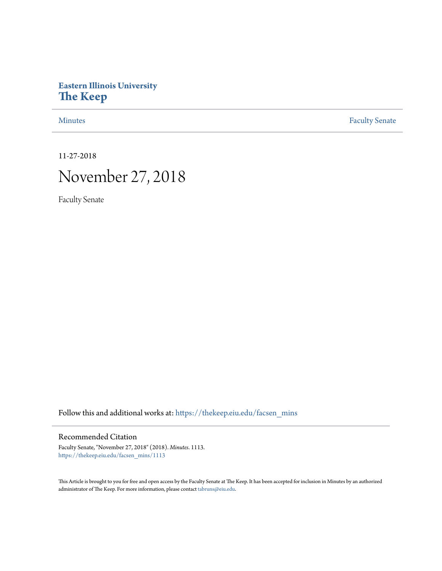## **Eastern Illinois University [The Keep](https://thekeep.eiu.edu?utm_source=thekeep.eiu.edu%2Ffacsen_mins%2F1113&utm_medium=PDF&utm_campaign=PDFCoverPages)**

[Minutes](https://thekeep.eiu.edu/facsen_mins?utm_source=thekeep.eiu.edu%2Ffacsen_mins%2F1113&utm_medium=PDF&utm_campaign=PDFCoverPages) **[Faculty Senate](https://thekeep.eiu.edu/fac_senate?utm_source=thekeep.eiu.edu%2Ffacsen_mins%2F1113&utm_medium=PDF&utm_campaign=PDFCoverPages)** 

11-27-2018

# November 27, 2018

Faculty Senate

Follow this and additional works at: [https://thekeep.eiu.edu/facsen\\_mins](https://thekeep.eiu.edu/facsen_mins?utm_source=thekeep.eiu.edu%2Ffacsen_mins%2F1113&utm_medium=PDF&utm_campaign=PDFCoverPages)

#### Recommended Citation

Faculty Senate, "November 27, 2018" (2018). *Minutes*. 1113. [https://thekeep.eiu.edu/facsen\\_mins/1113](https://thekeep.eiu.edu/facsen_mins/1113?utm_source=thekeep.eiu.edu%2Ffacsen_mins%2F1113&utm_medium=PDF&utm_campaign=PDFCoverPages)

This Article is brought to you for free and open access by the Faculty Senate at The Keep. It has been accepted for inclusion in Minutes by an authorized administrator of The Keep. For more information, please contact [tabruns@eiu.edu.](mailto:tabruns@eiu.edu)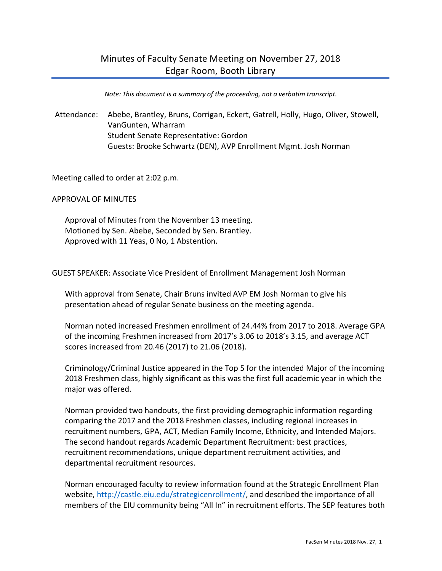*Note: This document is a summary of the proceeding, not a verbatim transcript.*

Attendance: Abebe, Brantley, Bruns, Corrigan, Eckert, Gatrell, Holly, Hugo, Oliver, Stowell, VanGunten, Wharram Student Senate Representative: Gordon Guests: Brooke Schwartz (DEN), AVP Enrollment Mgmt. Josh Norman

Meeting called to order at 2:02 p.m.

APPROVAL OF MINUTES

Approval of Minutes from the November 13 meeting. Motioned by Sen. Abebe, Seconded by Sen. Brantley. Approved with 11 Yeas, 0 No, 1 Abstention.

GUEST SPEAKER: Associate Vice President of Enrollment Management Josh Norman

With approval from Senate, Chair Bruns invited AVP EM Josh Norman to give his presentation ahead of regular Senate business on the meeting agenda.

Norman noted increased Freshmen enrollment of 24.44% from 2017 to 2018. Average GPA of the incoming Freshmen increased from 2017's 3.06 to 2018's 3.15, and average ACT scores increased from 20.46 (2017) to 21.06 (2018).

Criminology/Criminal Justice appeared in the Top 5 for the intended Major of the incoming 2018 Freshmen class, highly significant as this was the first full academic year in which the major was offered.

Norman provided two handouts, the first providing demographic information regarding comparing the 2017 and the 2018 Freshmen classes, including regional increases in recruitment numbers, GPA, ACT, Median Family Income, Ethnicity, and Intended Majors. The second handout regards Academic Department Recruitment: best practices, recruitment recommendations, unique department recruitment activities, and departmental recruitment resources.

Norman encouraged faculty to review information found at the Strategic Enrollment Plan website, http://castle.eiu.edu/strategicenrollment/, and described the importance of all members of the EIU community being "All In" in recruitment efforts. The SEP features both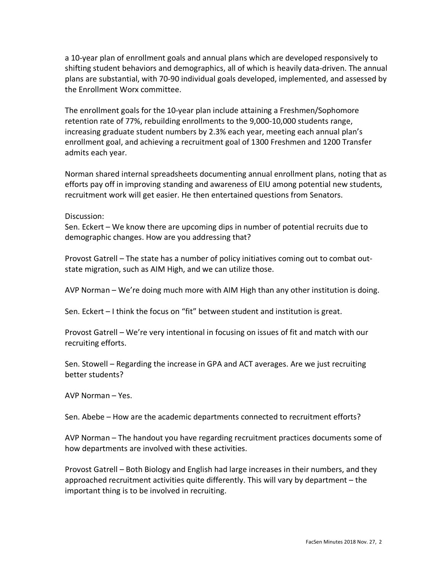a 10-year plan of enrollment goals and annual plans which are developed responsively to shifting student behaviors and demographics, all of which is heavily data-driven. The annual plans are substantial, with 70-90 individual goals developed, implemented, and assessed by the Enrollment Worx committee.

The enrollment goals for the 10-year plan include attaining a Freshmen/Sophomore retention rate of 77%, rebuilding enrollments to the 9,000-10,000 students range, increasing graduate student numbers by 2.3% each year, meeting each annual plan's enrollment goal, and achieving a recruitment goal of 1300 Freshmen and 1200 Transfer admits each year.

Norman shared internal spreadsheets documenting annual enrollment plans, noting that as efforts pay off in improving standing and awareness of EIU among potential new students, recruitment work will get easier. He then entertained questions from Senators.

Discussion:

Sen. Eckert – We know there are upcoming dips in number of potential recruits due to demographic changes. How are you addressing that?

Provost Gatrell – The state has a number of policy initiatives coming out to combat outstate migration, such as AIM High, and we can utilize those.

AVP Norman – We're doing much more with AIM High than any other institution is doing.

Sen. Eckert – I think the focus on "fit" between student and institution is great.

Provost Gatrell – We're very intentional in focusing on issues of fit and match with our recruiting efforts.

Sen. Stowell – Regarding the increase in GPA and ACT averages. Are we just recruiting better students?

AVP Norman – Yes.

Sen. Abebe – How are the academic departments connected to recruitment efforts?

AVP Norman – The handout you have regarding recruitment practices documents some of how departments are involved with these activities.

Provost Gatrell – Both Biology and English had large increases in their numbers, and they approached recruitment activities quite differently. This will vary by department – the important thing is to be involved in recruiting.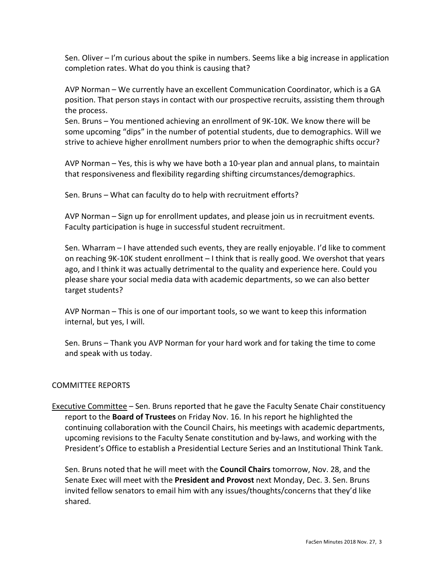Sen. Oliver – I'm curious about the spike in numbers. Seems like a big increase in application completion rates. What do you think is causing that?

AVP Norman – We currently have an excellent Communication Coordinator, which is a GA position. That person stays in contact with our prospective recruits, assisting them through the process.

Sen. Bruns – You mentioned achieving an enrollment of 9K-10K. We know there will be some upcoming "dips" in the number of potential students, due to demographics. Will we strive to achieve higher enrollment numbers prior to when the demographic shifts occur?

AVP Norman – Yes, this is why we have both a 10-year plan and annual plans, to maintain that responsiveness and flexibility regarding shifting circumstances/demographics.

Sen. Bruns – What can faculty do to help with recruitment efforts?

AVP Norman – Sign up for enrollment updates, and please join us in recruitment events. Faculty participation is huge in successful student recruitment.

Sen. Wharram – I have attended such events, they are really enjoyable. I'd like to comment on reaching 9K-10K student enrollment – I think that is really good. We overshot that years ago, and I think it was actually detrimental to the quality and experience here. Could you please share your social media data with academic departments, so we can also better target students?

AVP Norman – This is one of our important tools, so we want to keep this information internal, but yes, I will.

Sen. Bruns – Thank you AVP Norman for your hard work and for taking the time to come and speak with us today.

### COMMITTEE REPORTS

Executive Committee – Sen. Bruns reported that he gave the Faculty Senate Chair constituency report to the **Board of Trustees** on Friday Nov. 16. In his report he highlighted the continuing collaboration with the Council Chairs, his meetings with academic departments, upcoming revisions to the Faculty Senate constitution and by-laws, and working with the President's Office to establish a Presidential Lecture Series and an Institutional Think Tank.

Sen. Bruns noted that he will meet with the **Council Chairs** tomorrow, Nov. 28, and the Senate Exec will meet with the **President and Provost** next Monday, Dec. 3. Sen. Bruns invited fellow senators to email him with any issues/thoughts/concerns that they'd like shared.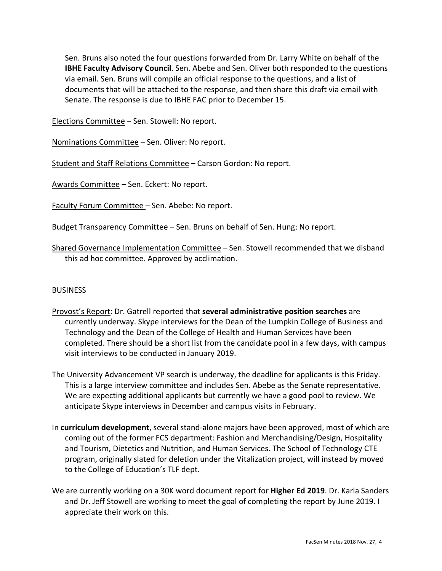Sen. Bruns also noted the four questions forwarded from Dr. Larry White on behalf of the **IBHE Faculty Advisory Council**. Sen. Abebe and Sen. Oliver both responded to the questions via email. Sen. Bruns will compile an official response to the questions, and a list of documents that will be attached to the response, and then share this draft via email with Senate. The response is due to IBHE FAC prior to December 15.

Elections Committee – Sen. Stowell: No report.

Nominations Committee – Sen. Oliver: No report.

Student and Staff Relations Committee – Carson Gordon: No report.

Awards Committee – Sen. Eckert: No report.

Faculty Forum Committee – Sen. Abebe: No report.

Budget Transparency Committee – Sen. Bruns on behalf of Sen. Hung: No report.

Shared Governance Implementation Committee – Sen. Stowell recommended that we disband this ad hoc committee. Approved by acclimation.

### **BUSINESS**

- Provost's Report: Dr. Gatrell reported that **several administrative position searches** are currently underway. Skype interviews for the Dean of the Lumpkin College of Business and Technology and the Dean of the College of Health and Human Services have been completed. There should be a short list from the candidate pool in a few days, with campus visit interviews to be conducted in January 2019.
- The University Advancement VP search is underway, the deadline for applicants is this Friday. This is a large interview committee and includes Sen. Abebe as the Senate representative. We are expecting additional applicants but currently we have a good pool to review. We anticipate Skype interviews in December and campus visits in February.
- In **curriculum development**, several stand-alone majors have been approved, most of which are coming out of the former FCS department: Fashion and Merchandising/Design, Hospitality and Tourism, Dietetics and Nutrition, and Human Services. The School of Technology CTE program, originally slated for deletion under the Vitalization project, will instead by moved to the College of Education's TLF dept.
- We are currently working on a 30K word document report for **Higher Ed 2019**. Dr. Karla Sanders and Dr. Jeff Stowell are working to meet the goal of completing the report by June 2019. I appreciate their work on this.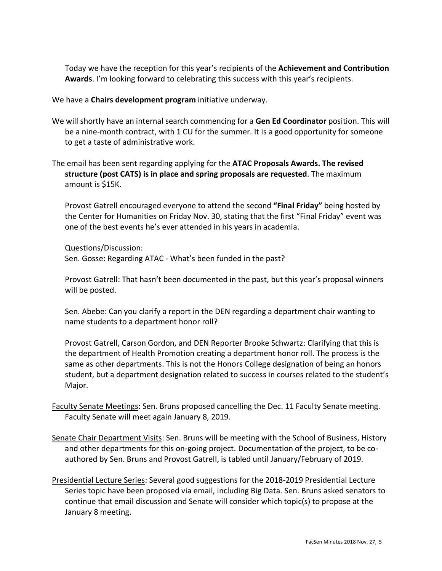Today we have the reception for this year's recipients of the **Achievement and Contribution Awards**. I'm looking forward to celebrating this success with this year's recipients.

We have a **Chairs development program** initiative underway.

- We will shortly have an internal search commencing for a **Gen Ed Coordinator** position. This will be a nine-month contract, with 1 CU for the summer. It is a good opportunity for someone to get a taste of administrative work.
- The email has been sent regarding applying for the **ATAC Proposals Awards. The revised structure (post CATS) is in place and spring proposals are requested**. The maximum amount is \$15K.

Provost Gatrell encouraged everyone to attend the second **"Final Friday"** being hosted by the Center for Humanities on Friday Nov. 30, stating that the first "Final Friday" event was one of the best events he's ever attended in his years in academia.

Questions/Discussion: Sen. Gosse: Regarding ATAC - What's been funded in the past?

Provost Gatrell: That hasn't been documented in the past, but this year's proposal winners will be posted.

Sen. Abebe: Can you clarify a report in the DEN regarding a department chair wanting to name students to a department honor roll?

Provost Gatrell, Carson Gordon, and DEN Reporter Brooke Schwartz: Clarifying that this is the department of Health Promotion creating a department honor roll. The process is the same as other departments. This is not the Honors College designation of being an honors student, but a department designation related to success in courses related to the student's Major.

- Faculty Senate Meetings: Sen. Bruns proposed cancelling the Dec. 11 Faculty Senate meeting. Faculty Senate will meet again January 8, 2019.
- Senate Chair Department Visits: Sen. Bruns will be meeting with the School of Business, History and other departments for this on-going project. Documentation of the project, to be coauthored by Sen. Bruns and Provost Gatrell, is tabled until January/February of 2019.
- Presidential Lecture Series: Several good suggestions for the 2018-2019 Presidential Lecture Series topic have been proposed via email, including Big Data. Sen. Bruns asked senators to continue that email discussion and Senate will consider which topic(s) to propose at the January 8 meeting.